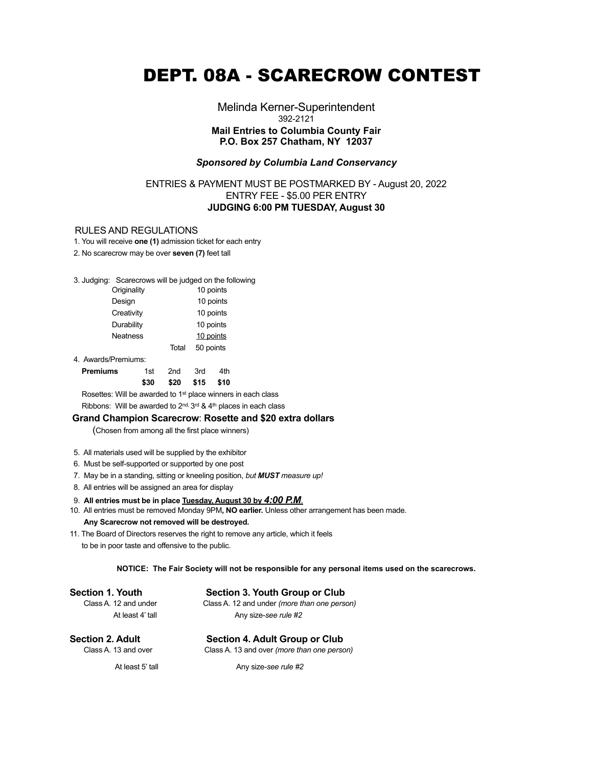# DEPT. 08A - SCARECROW CONTEST

Melinda Kerner-Superintendent 392-2121 **Mail Entries to Columbia County Fair P.O. Box 257 Chatham, NY 12037**

### *Sponsored by Columbia Land Conservancy*

# ENTRIES & PAYMENT MUST BE POSTMARKED BY - August 20, 2022 ENTRY FEE - \$5.00 PER ENTRY **JUDGING 6:00 PM TUESDAY, August 30**

#### RULES AND REGULATIONS

1. You will receive **one (1)** admission ticket for each entry

2. No scarecrow may be over **seven (7)** feet tall

## 3. Judging: Scarecrows will be judged on the following

| Originality |       | 10 points |
|-------------|-------|-----------|
| Design      |       | 10 points |
| Creativity  |       | 10 points |
| Durability  |       | 10 points |
| Neatness    |       | 10 points |
|             | Total | 50 points |
|             |       |           |

4. Awards/Premiums:

| <b>Premiums</b> | 1st 2nd 3rd         | 4th |
|-----------------|---------------------|-----|
|                 | \$30 \$20 \$15 \$10 |     |

 Rosettes: Will be awarded to 1st place winners in each class Ribbons: Will be awarded to 2<sup>nd, 3rd</sup> & 4<sup>th</sup> places in each class

## **Grand Champion Scarecrow**: **Rosette and \$20 extra dollars**

(Chosen from among all the first place winners)

- 5. All materials used will be supplied by the exhibitor
- 6. Must be self-supported or supported by one post
- 7. May be in a standing, sitting or kneeling position, *but MUST measure up!*
- 8. All entries will be assigned an area for display

### 9. **All entries must be in place Tuesday, August 30 by** *4:00 P.M*.

- 10. All entries must be removed Monday 9PM**, NO earlier.** Unless other arrangement has been made. **Any Scarecrow not removed will be destroyed.**
- 11. The Board of Directors reserves the right to remove any article, which it feels to be in poor taste and offensive to the public.

#### **NOTICE: The Fair Society will not be responsible for any personal items used on the scarecrows.**

#### Section 1. Youth Section 3. Youth Group or Club

 Class A. 12 and under Class A. 12 and under *(more than one person)* At least 4' tall Any size-see rule #2

# **Section 2. Adult Section 4. Adult Group or Club**<br>Class A. 13 and over Class A. 13 and over *(more than one perse*)

Class A. 13 and over *(more than one person)* 

At least 5' tall **Any size-see rule #2** Any size-see rule #2